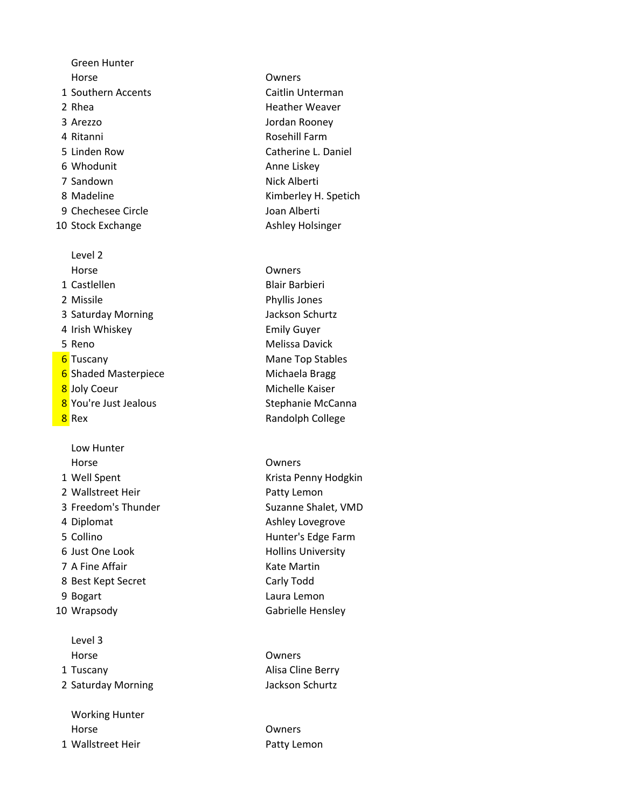Green Hunter Horse Owners 1 Southern Accents **Caitlin Unterman** 2 Rhea Heather Weaver 3 Arezzo Jordan Rooney 4 Ritanni Rosehill Farm 5 Linden Row Catherine L. Daniel 6 Whodunit **Anne Liskey** 7 Sandown Nick Alberti 8 Madeline **Kimberley H. Spetich** 9 Chechesee Circle Joan Alberti 10 Stock Exchange **Ashley Holsinger** Ashley Holsinger Level 2 Horse Owners 1 Castlellen Blair Barbieri 2 Missile Phyllis Jones 3 Saturday Morning **Jackson Schurtz** 4 Irish Whiskey Emily Guyer 5 Reno Melissa Davick **6** Tuscany **Mane Top Stables** Mane Top Stables

- 6 Shaded Masterpiece Michaela Bragg 8 Joly Coeur **Michelle Kaiser**
- 

Low Hunter Horse Owners 1 Well Spent **Krista Penny Hodgkin** 2 Wallstreet Heir **Patty Lemon** 3 Freedom's Thunder Suzanne Shalet, VMD 4 Diplomat **Ashley Lovegrove Ashley Lovegrove** 5 Collino **Hunter's Edge Farm** 6 Just One Look **Hollins University** 7 A Fine Affair **Kate Martin** Kate Martin 8 Best Kept Secret Carly Todd 9 Bogart Laura Lemon 10 Wrapsody Gabrielle Hensley Level 3 Horse Owners 1 Tuscany Alisa Cline Berry 2 Saturday Morning **Jackson Schurtz Jackson Schurtz** Working Hunter Horse Owners

1 Wallstreet Heir **Patty Lemon** 

8 You're Just Jealous Stephanie McCanna **8** Rex **Randolph College** Randolph College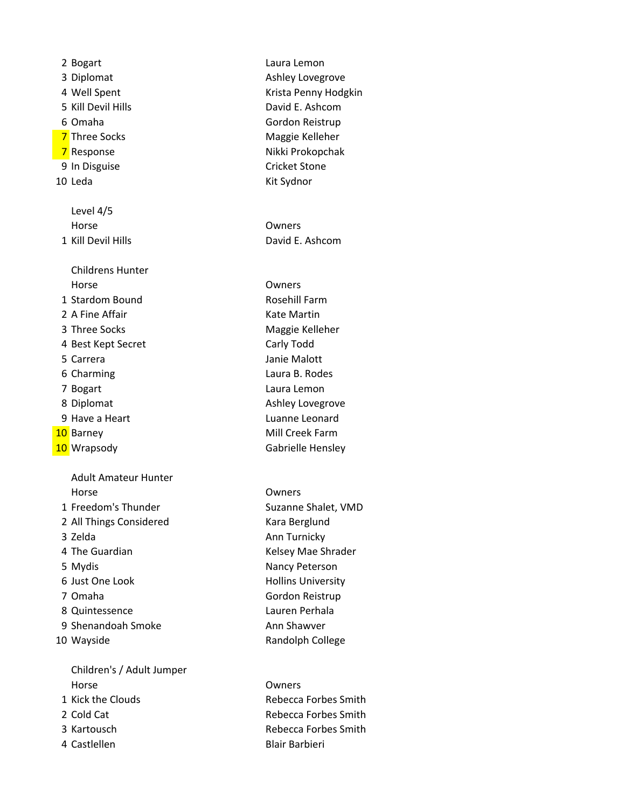2 Bogart Laura Lemon 3 Diplomat **Ashley Lovegrove Ashley Lovegrove** 4 Well Spent **Krista Penny Hodgkin** 5 Kill Devil Hills **David E. Ashcom** 6 Omaha Gordon Reistrup 7 Three Socks **Maggie Kelleher** Maggie Kelleher 7 Response Nikki Prokopchak 9 In Disguise **Cricket Stone** 10 Leda Kit Sydnor Level 4/5 Horse Owners 1 Kill Devil Hills David E. Ashcom Childrens Hunter Horse Owners 1 Stardom Bound Rosehill Farm 2 A Fine Affair **Kate Martin** 3 Three Socks Maggie Kelleher 4 Best Kept Secret Carly Todd 5 Carrera Janie Malott 6 Charming Laura B. Rodes 7 Bogart Laura Lemon 8 Diplomat **Ashley Lovegrove Ashley Lovegrove** 9 Have a Heart Luanne Leonard 10 Barney **Mill Creek Farm** 10 Wrapsody **Manufather Cabrielle Hensley** Adult Amateur Hunter Horse Owners 1 Freedom's Thunder Suzanne Shalet, VMD 2 All Things Considered Kara Berglund 3 Zelda Ann Turnicky 4 The Guardian **Kelsey Mae Shrader** Kelsey Mae Shrader 5 Mydis **Nancy Peterson** 6 Just One Look Hollins University 7 Omaha Gordon Reistrup 8 Quintessence Lauren Perhala 9 Shenandoah Smoke Ann Shawver 10 Wayside **Randolph College** Children's / Adult Jumper Horse Owners 1 Kick the Clouds **Rebecca Forbes Smith** 

- 2 Cold Cat **Rebecca Forbes Smith** 3 Kartousch **Rebecca Forbes Smith**
- 4 Castlellen Blair Barbieri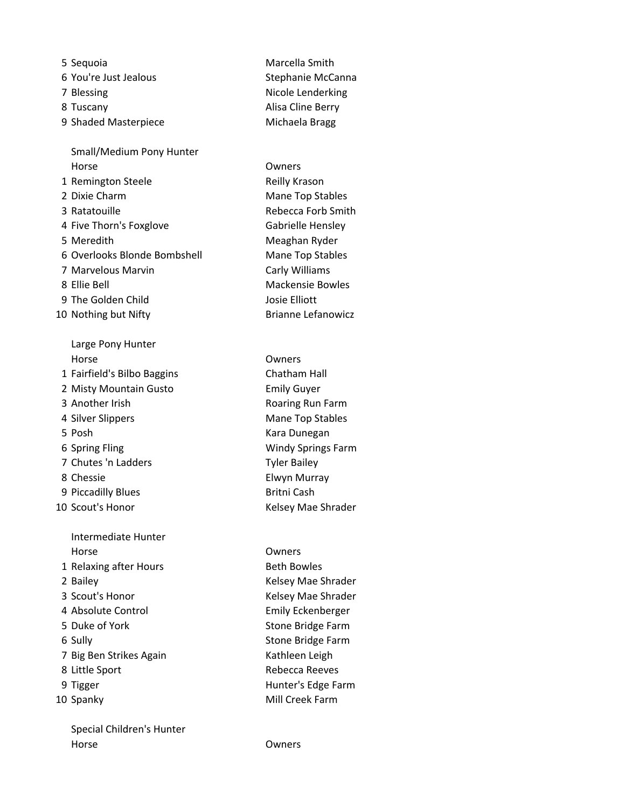5 Sequoia Marcella Smith 6 You're Just Jealous Stephanie McCanna 7 Blessing **Nicole Lenderking** 8 Tuscany **Alisa Cline Berry** 9 Shaded Masterpiece Michaela Bragg Small/Medium Pony Hunter Horse Owners 1 Remington Steele Reilly Krason 2 Dixie Charm Mane Top Stables 3 Ratatouille **Rebecca Forb Smith** 4 Five Thorn's Foxglove Gabrielle Hensley 5 Meredith Meaghan Ryder 6 Overlooks Blonde Bombshell Mane Top Stables 7 Marvelous Marvin **Carly Williams** 8 Ellie Bell Mackensie Bowles 9 The Golden Child Josie Elliott 10 Nothing but Nifty **Brianne Lefanowicz** Large Pony Hunter

Horse Owners 1 Fairfield's Bilbo Baggins Chatham Hall 2 Misty Mountain Gusto Emily Guyer 3 Another Irish Roaring Run Farm 4 Silver Slippers Mane Top Stables 5 Posh Kara Dunegan 6 Spring Fling Windy Springs Farm 7 Chutes 'n Ladders Tyler Bailey 8 Chessie Elwyn Murray 9 Piccadilly Blues Britni Cash 10 Scout's Honor **Network** Kelsey Mae Shrader Intermediate Hunter Horse Owners 1 Relaxing after Hours Beth Bowles 2 Bailey **Acker Ackarding School Ackarding Contracts** Kelsey Mae Shrader 3 Scout's Honor Kelsey Mae Shrader 4 Absolute Control **Emily Eckenberger** 5 Duke of York Stone Bridge Farm 6 Sully **Stone Bridge Farm** 7 Big Ben Strikes Again Kathleen Leigh 8 Little Sport Rebecca Reeves 9 Tigger **Hunter's Edge Farm** 10 Spanky Mill Creek Farm

Special Children's Hunter Horse Owners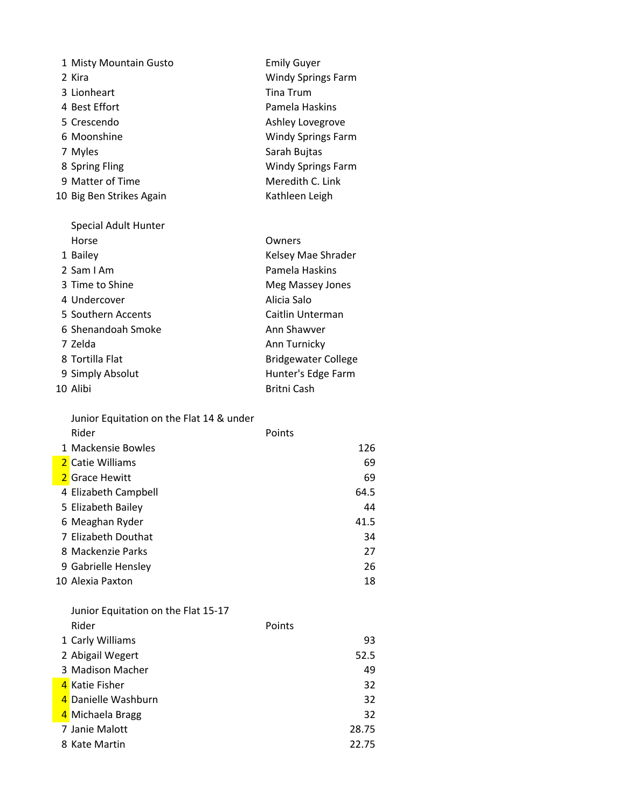| 1 Misty Mountain Gusto                   | <b>Emily Guyer</b>         |
|------------------------------------------|----------------------------|
| 2 Kira                                   | <b>Windy Springs Farm</b>  |
| 3 Lionheart                              | <b>Tina Trum</b>           |
| 4 Best Effort                            | Pamela Haskins             |
| 5 Crescendo                              | Ashley Lovegrove           |
| 6 Moonshine                              | <b>Windy Springs Farm</b>  |
| 7 Myles                                  | Sarah Bujtas               |
| 8 Spring Fling                           | <b>Windy Springs Farm</b>  |
| 9 Matter of Time                         | Meredith C. Link           |
| 10 Big Ben Strikes Again                 | Kathleen Leigh             |
| Special Adult Hunter                     |                            |
| Horse                                    | Owners                     |
| 1 Bailey                                 | Kelsey Mae Shrader         |
| 2 Sam I Am                               | Pamela Haskins             |
| 3 Time to Shine                          | Meg Massey Jones           |
| 4 Undercover                             | Alicia Salo                |
| 5 Southern Accents                       | Caitlin Unterman           |
| 6 Shenandoah Smoke                       | Ann Shawver                |
| 7 Zelda                                  | Ann Turnicky               |
| 8 Tortilla Flat                          | <b>Bridgewater College</b> |
| 9 Simply Absolut                         | Hunter's Edge Farm         |
| 10 Alibi                                 | <b>Britni Cash</b>         |
| Junior Equitation on the Flat 14 & under |                            |
| Rider                                    | Points                     |
| 1 Mackensie Bowles                       | 126                        |
| 2 Catie Williams                         | 69                         |
| 2 Grace Hewitt                           | 69                         |
| 4 Elizabeth Campbell                     | 64.5                       |
| 5 Elizabeth Bailey                       | 44                         |
| 6 Meaghan Ryder                          | 41.5                       |
| 7 Elizabeth Douthat                      | 34                         |
| 8 Mackenzie Parks                        | 27                         |
| 9 Gabrielle Hensley                      | 26                         |
| 10 Alexia Paxton                         | 18                         |
| Junior Equitation on the Flat 15-17      |                            |
| Rider                                    | Points                     |
| 1 Carly Williams                         | 93                         |
| 2 Abigail Wegert                         | 52.5                       |
| 3 Madison Macher                         | 49                         |
| 4 Katie Fisher                           | 32                         |

4 Danielle Washburn 32 and a Michaela Bragg and a series of the series of the series of the series of the series of the series of the series of the series of the series of the series of the series of the series of the series of the series of the

Janie Malott 28.75

8 Kate Martin